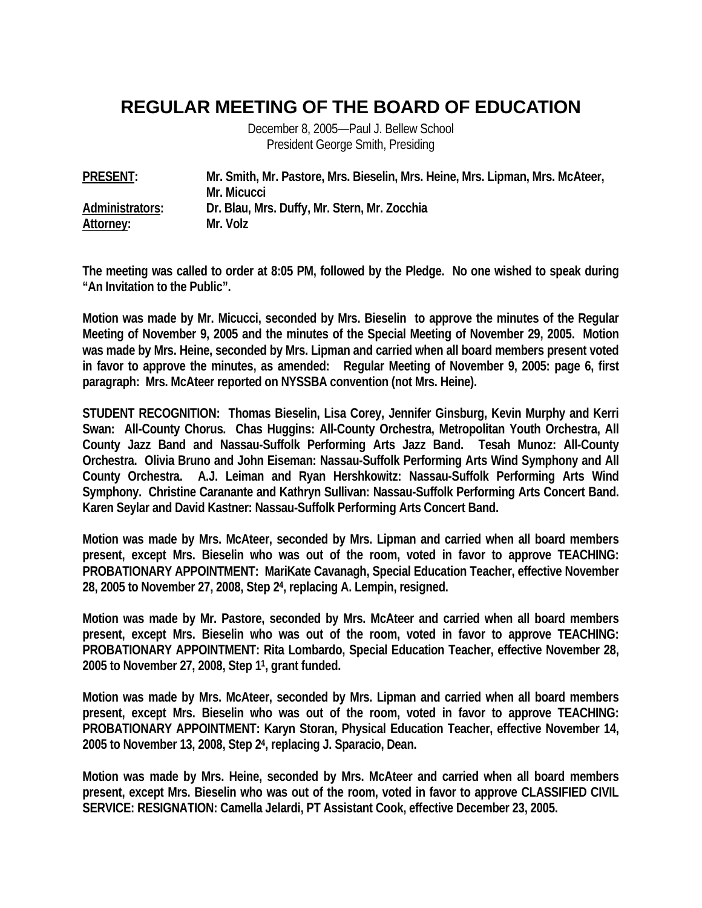## **REGULAR MEETING OF THE BOARD OF EDUCATION**

December 8, 2005—Paul J. Bellew School President George Smith, Presiding

| <b>PRESENT:</b> | Mr. Smith, Mr. Pastore, Mrs. Bieselin, Mrs. Heine, Mrs. Lipman, Mrs. McAteer, |
|-----------------|-------------------------------------------------------------------------------|
|                 | Mr. Micucci                                                                   |
| Administrators: | Dr. Blau, Mrs. Duffy, Mr. Stern, Mr. Zocchia                                  |
| Attorney:       | Mr. Volz                                                                      |

**The meeting was called to order at 8:05 PM, followed by the Pledge. No one wished to speak during "An Invitation to the Public".** 

**Motion was made by Mr. Micucci, seconded by Mrs. Bieselin to approve the minutes of the Regular Meeting of November 9, 2005 and the minutes of the Special Meeting of November 29, 2005. Motion was made by Mrs. Heine, seconded by Mrs. Lipman and carried when all board members present voted in favor to approve the minutes, as amended: Regular Meeting of November 9, 2005: page 6, first paragraph: Mrs. McAteer reported on NYSSBA convention (not Mrs. Heine).** 

**STUDENT RECOGNITION: Thomas Bieselin, Lisa Corey, Jennifer Ginsburg, Kevin Murphy and Kerri Swan: All-County Chorus. Chas Huggins: All-County Orchestra, Metropolitan Youth Orchestra, All County Jazz Band and Nassau-Suffolk Performing Arts Jazz Band. Tesah Munoz: All-County Orchestra. Olivia Bruno and John Eiseman: Nassau-Suffolk Performing Arts Wind Symphony and All County Orchestra. A.J. Leiman and Ryan Hershkowitz: Nassau-Suffolk Performing Arts Wind Symphony. Christine Caranante and Kathryn Sullivan: Nassau-Suffolk Performing Arts Concert Band. Karen Seylar and David Kastner: Nassau-Suffolk Performing Arts Concert Band.** 

**Motion was made by Mrs. McAteer, seconded by Mrs. Lipman and carried when all board members present, except Mrs. Bieselin who was out of the room, voted in favor to approve TEACHING: PROBATIONARY APPOINTMENT: MariKate Cavanagh, Special Education Teacher, effective November 28, 2005 to November 27, 2008, Step 24, replacing A. Lempin, resigned.** 

**Motion was made by Mr. Pastore, seconded by Mrs. McAteer and carried when all board members present, except Mrs. Bieselin who was out of the room, voted in favor to approve TEACHING: PROBATIONARY APPOINTMENT: Rita Lombardo, Special Education Teacher, effective November 28, 2005 to November 27, 2008, Step 11, grant funded.** 

**Motion was made by Mrs. McAteer, seconded by Mrs. Lipman and carried when all board members present, except Mrs. Bieselin who was out of the room, voted in favor to approve TEACHING: PROBATIONARY APPOINTMENT: Karyn Storan, Physical Education Teacher, effective November 14, 2005 to November 13, 2008, Step 24, replacing J. Sparacio, Dean.** 

**Motion was made by Mrs. Heine, seconded by Mrs. McAteer and carried when all board members present, except Mrs. Bieselin who was out of the room, voted in favor to approve CLASSIFIED CIVIL SERVICE: RESIGNATION: Camella Jelardi, PT Assistant Cook, effective December 23, 2005.**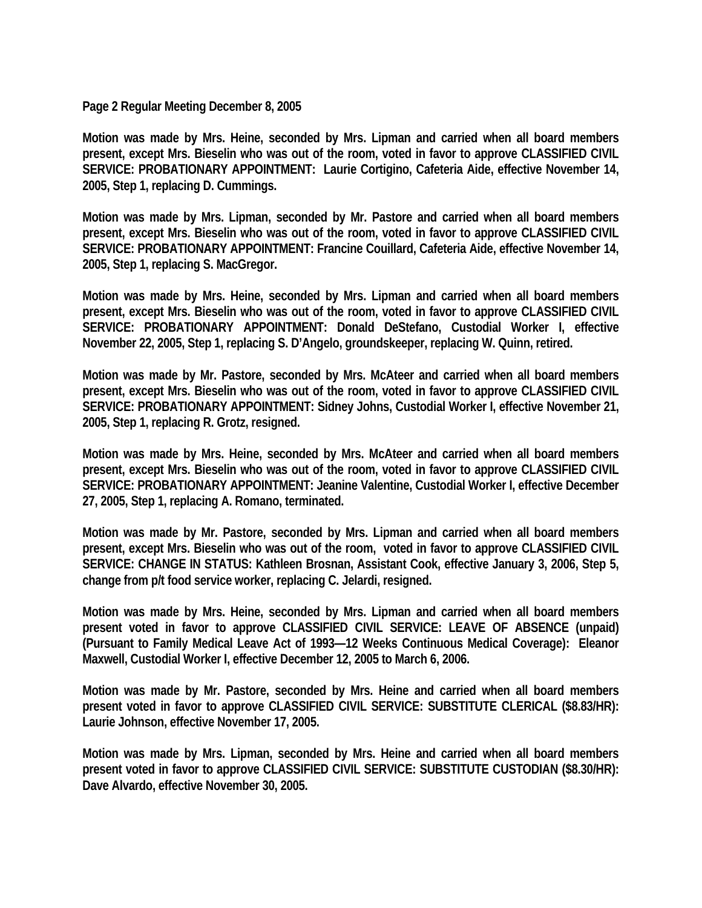## **Page 2 Regular Meeting December 8, 2005**

**Motion was made by Mrs. Heine, seconded by Mrs. Lipman and carried when all board members present, except Mrs. Bieselin who was out of the room, voted in favor to approve CLASSIFIED CIVIL SERVICE: PROBATIONARY APPOINTMENT: Laurie Cortigino, Cafeteria Aide, effective November 14, 2005, Step 1, replacing D. Cummings.** 

**Motion was made by Mrs. Lipman, seconded by Mr. Pastore and carried when all board members present, except Mrs. Bieselin who was out of the room, voted in favor to approve CLASSIFIED CIVIL SERVICE: PROBATIONARY APPOINTMENT: Francine Couillard, Cafeteria Aide, effective November 14, 2005, Step 1, replacing S. MacGregor.** 

**Motion was made by Mrs. Heine, seconded by Mrs. Lipman and carried when all board members present, except Mrs. Bieselin who was out of the room, voted in favor to approve CLASSIFIED CIVIL SERVICE: PROBATIONARY APPOINTMENT: Donald DeStefano, Custodial Worker I, effective November 22, 2005, Step 1, replacing S. D'Angelo, groundskeeper, replacing W. Quinn, retired.** 

**Motion was made by Mr. Pastore, seconded by Mrs. McAteer and carried when all board members present, except Mrs. Bieselin who was out of the room, voted in favor to approve CLASSIFIED CIVIL SERVICE: PROBATIONARY APPOINTMENT: Sidney Johns, Custodial Worker I, effective November 21, 2005, Step 1, replacing R. Grotz, resigned.** 

**Motion was made by Mrs. Heine, seconded by Mrs. McAteer and carried when all board members present, except Mrs. Bieselin who was out of the room, voted in favor to approve CLASSIFIED CIVIL SERVICE: PROBATIONARY APPOINTMENT: Jeanine Valentine, Custodial Worker I, effective December 27, 2005, Step 1, replacing A. Romano, terminated.** 

**Motion was made by Mr. Pastore, seconded by Mrs. Lipman and carried when all board members present, except Mrs. Bieselin who was out of the room, voted in favor to approve CLASSIFIED CIVIL SERVICE: CHANGE IN STATUS: Kathleen Brosnan, Assistant Cook, effective January 3, 2006, Step 5, change from p/t food service worker, replacing C. Jelardi, resigned.** 

**Motion was made by Mrs. Heine, seconded by Mrs. Lipman and carried when all board members present voted in favor to approve CLASSIFIED CIVIL SERVICE: LEAVE OF ABSENCE (unpaid) (Pursuant to Family Medical Leave Act of 1993—12 Weeks Continuous Medical Coverage): Eleanor Maxwell, Custodial Worker I, effective December 12, 2005 to March 6, 2006.** 

**Motion was made by Mr. Pastore, seconded by Mrs. Heine and carried when all board members present voted in favor to approve CLASSIFIED CIVIL SERVICE: SUBSTITUTE CLERICAL (\$8.83/HR): Laurie Johnson, effective November 17, 2005.** 

**Motion was made by Mrs. Lipman, seconded by Mrs. Heine and carried when all board members present voted in favor to approve CLASSIFIED CIVIL SERVICE: SUBSTITUTE CUSTODIAN (\$8.30/HR): Dave Alvardo, effective November 30, 2005.**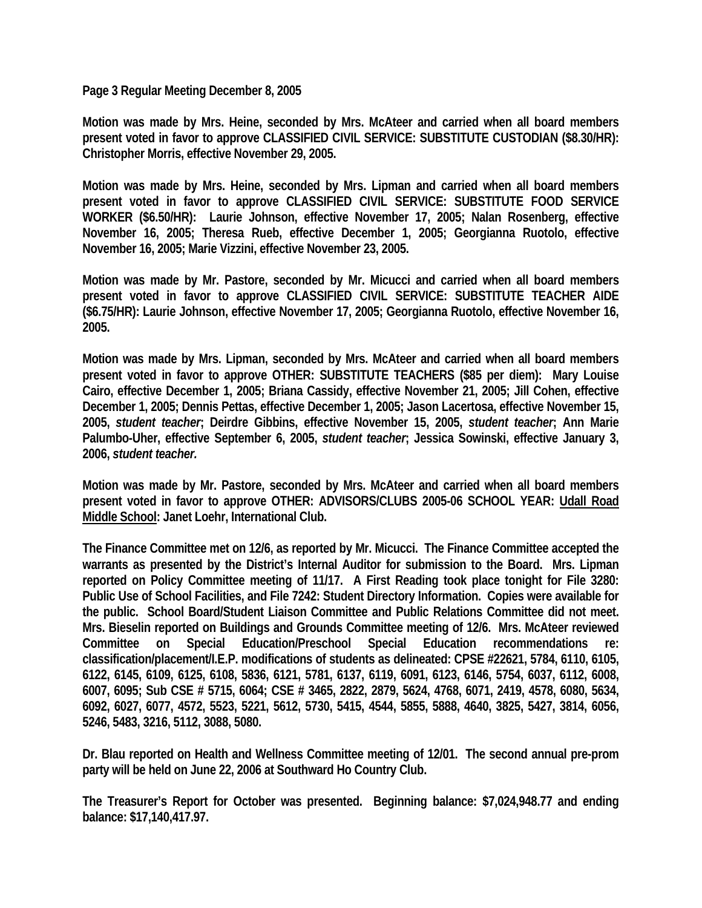**Page 3 Regular Meeting December 8, 2005** 

**Motion was made by Mrs. Heine, seconded by Mrs. McAteer and carried when all board members present voted in favor to approve CLASSIFIED CIVIL SERVICE: SUBSTITUTE CUSTODIAN (\$8.30/HR): Christopher Morris, effective November 29, 2005.** 

**Motion was made by Mrs. Heine, seconded by Mrs. Lipman and carried when all board members present voted in favor to approve CLASSIFIED CIVIL SERVICE: SUBSTITUTE FOOD SERVICE WORKER (\$6.50/HR): Laurie Johnson, effective November 17, 2005; Nalan Rosenberg, effective November 16, 2005; Theresa Rueb, effective December 1, 2005; Georgianna Ruotolo, effective November 16, 2005; Marie Vizzini, effective November 23, 2005.** 

**Motion was made by Mr. Pastore, seconded by Mr. Micucci and carried when all board members present voted in favor to approve CLASSIFIED CIVIL SERVICE: SUBSTITUTE TEACHER AIDE (\$6.75/HR): Laurie Johnson, effective November 17, 2005; Georgianna Ruotolo, effective November 16, 2005.** 

**Motion was made by Mrs. Lipman, seconded by Mrs. McAteer and carried when all board members present voted in favor to approve OTHER: SUBSTITUTE TEACHERS (\$85 per diem): Mary Louise Cairo, effective December 1, 2005; Briana Cassidy, effective November 21, 2005; Jill Cohen, effective December 1, 2005; Dennis Pettas, effective December 1, 2005; Jason Lacertosa, effective November 15, 2005,** *student teacher***; Deirdre Gibbins, effective November 15, 2005,** *student teacher***; Ann Marie Palumbo-Uher, effective September 6, 2005,** *student teacher***; Jessica Sowinski, effective January 3, 2006,** *student teacher.*

**Motion was made by Mr. Pastore, seconded by Mrs. McAteer and carried when all board members present voted in favor to approve OTHER: ADVISORS/CLUBS 2005-06 SCHOOL YEAR: Udall Road Middle School: Janet Loehr, International Club.** 

**The Finance Committee met on 12/6, as reported by Mr. Micucci. The Finance Committee accepted the warrants as presented by the District's Internal Auditor for submission to the Board. Mrs. Lipman reported on Policy Committee meeting of 11/17. A First Reading took place tonight for File 3280: Public Use of School Facilities, and File 7242: Student Directory Information. Copies were available for the public. School Board/Student Liaison Committee and Public Relations Committee did not meet. Mrs. Bieselin reported on Buildings and Grounds Committee meeting of 12/6. Mrs. McAteer reviewed Committee on Special Education/Preschool Special Education recommendations re: classification/placement/I.E.P. modifications of students as delineated: CPSE #22621, 5784, 6110, 6105, 6122, 6145, 6109, 6125, 6108, 5836, 6121, 5781, 6137, 6119, 6091, 6123, 6146, 5754, 6037, 6112, 6008, 6007, 6095; Sub CSE # 5715, 6064; CSE # 3465, 2822, 2879, 5624, 4768, 6071, 2419, 4578, 6080, 5634, 6092, 6027, 6077, 4572, 5523, 5221, 5612, 5730, 5415, 4544, 5855, 5888, 4640, 3825, 5427, 3814, 6056, 5246, 5483, 3216, 5112, 3088, 5080.** 

**Dr. Blau reported on Health and Wellness Committee meeting of 12/01. The second annual pre-prom party will be held on June 22, 2006 at Southward Ho Country Club.** 

**The Treasurer's Report for October was presented. Beginning balance: \$7,024,948.77 and ending balance: \$17,140,417.97.**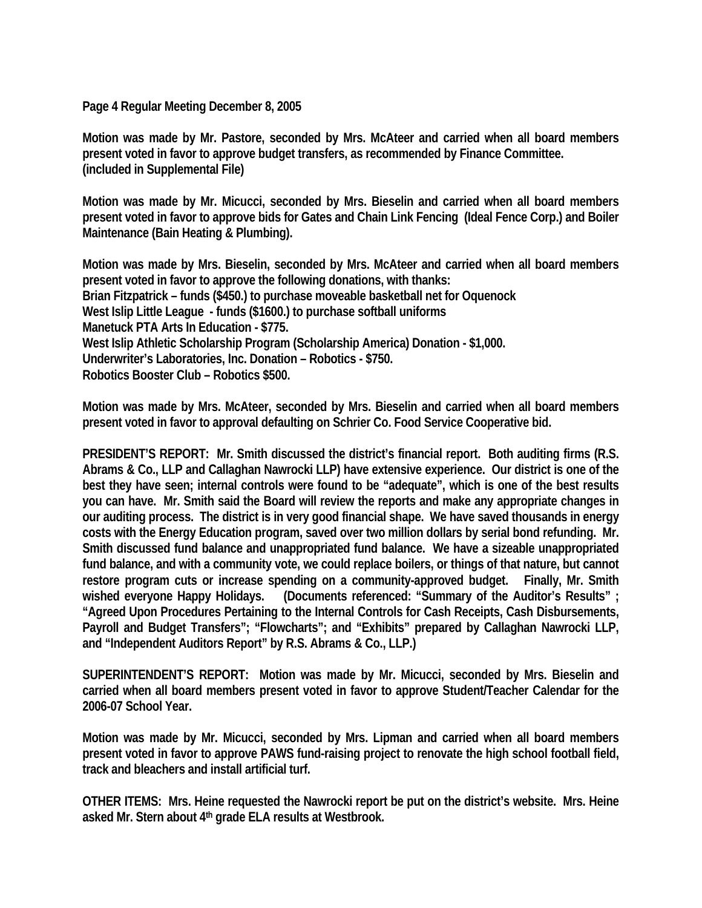**Page 4 Regular Meeting December 8, 2005** 

**Motion was made by Mr. Pastore, seconded by Mrs. McAteer and carried when all board members present voted in favor to approve budget transfers, as recommended by Finance Committee. (included in Supplemental File)** 

**Motion was made by Mr. Micucci, seconded by Mrs. Bieselin and carried when all board members present voted in favor to approve bids for Gates and Chain Link Fencing (Ideal Fence Corp.) and Boiler Maintenance (Bain Heating & Plumbing).** 

**Motion was made by Mrs. Bieselin, seconded by Mrs. McAteer and carried when all board members present voted in favor to approve the following donations, with thanks: Brian Fitzpatrick – funds (\$450.) to purchase moveable basketball net for Oquenock West Islip Little League - funds (\$1600.) to purchase softball uniforms Manetuck PTA Arts In Education - \$775. West Islip Athletic Scholarship Program (Scholarship America) Donation - \$1,000. Underwriter's Laboratories, Inc. Donation – Robotics - \$750. Robotics Booster Club – Robotics \$500.** 

**Motion was made by Mrs. McAteer, seconded by Mrs. Bieselin and carried when all board members present voted in favor to approval defaulting on Schrier Co. Food Service Cooperative bid.** 

**PRESIDENT'S REPORT: Mr. Smith discussed the district's financial report. Both auditing firms (R.S. Abrams & Co., LLP and Callaghan Nawrocki LLP) have extensive experience. Our district is one of the best they have seen; internal controls were found to be "adequate", which is one of the best results you can have. Mr. Smith said the Board will review the reports and make any appropriate changes in our auditing process. The district is in very good financial shape. We have saved thousands in energy costs with the Energy Education program, saved over two million dollars by serial bond refunding. Mr. Smith discussed fund balance and unappropriated fund balance. We have a sizeable unappropriated fund balance, and with a community vote, we could replace boilers, or things of that nature, but cannot restore program cuts or increase spending on a community-approved budget. Finally, Mr. Smith wished everyone Happy Holidays. (Documents referenced: "Summary of the Auditor's Results" ; "Agreed Upon Procedures Pertaining to the Internal Controls for Cash Receipts, Cash Disbursements,**  Payroll and Budget Transfers"; "Flowcharts"; and "Exhibits" prepared by Callaghan Nawrocki LLP, **and "Independent Auditors Report" by R.S. Abrams & Co., LLP.)** 

**SUPERINTENDENT'S REPORT: Motion was made by Mr. Micucci, seconded by Mrs. Bieselin and carried when all board members present voted in favor to approve Student/Teacher Calendar for the 2006-07 School Year.** 

**Motion was made by Mr. Micucci, seconded by Mrs. Lipman and carried when all board members present voted in favor to approve PAWS fund-raising project to renovate the high school football field, track and bleachers and install artificial turf.** 

**OTHER ITEMS: Mrs. Heine requested the Nawrocki report be put on the district's website. Mrs. Heine asked Mr. Stern about 4th grade ELA results at Westbrook.**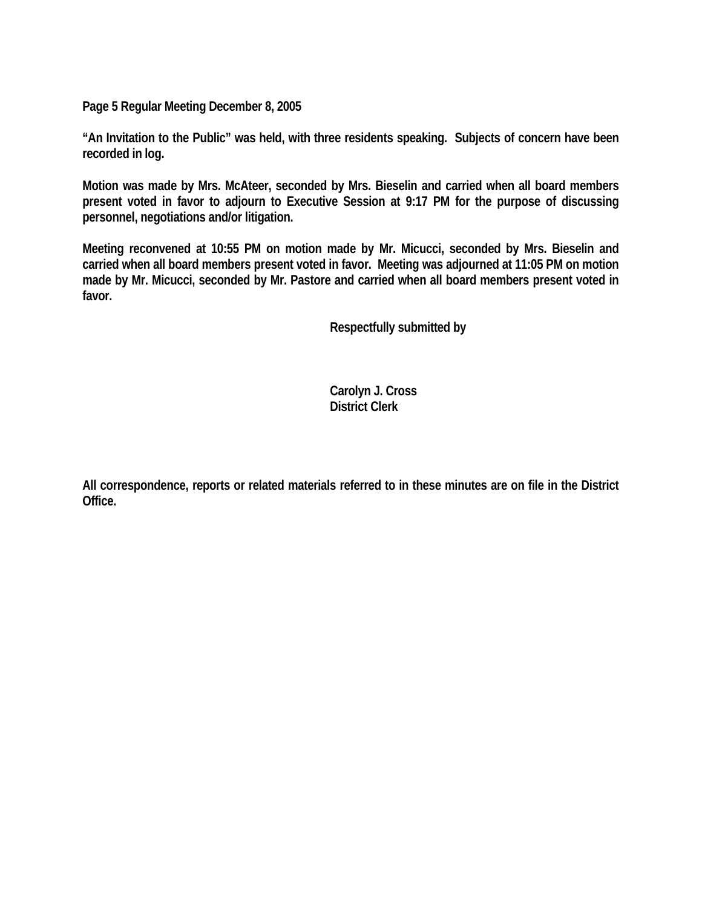**Page 5 Regular Meeting December 8, 2005** 

**"An Invitation to the Public" was held, with three residents speaking. Subjects of concern have been recorded in log.** 

**Motion was made by Mrs. McAteer, seconded by Mrs. Bieselin and carried when all board members present voted in favor to adjourn to Executive Session at 9:17 PM for the purpose of discussing personnel, negotiations and/or litigation.** 

**Meeting reconvened at 10:55 PM on motion made by Mr. Micucci, seconded by Mrs. Bieselin and carried when all board members present voted in favor. Meeting was adjourned at 11:05 PM on motion made by Mr. Micucci, seconded by Mr. Pastore and carried when all board members present voted in favor.** 

 **Respectfully submitted by** 

 **Carolyn J. Cross District Clerk** 

**All correspondence, reports or related materials referred to in these minutes are on file in the District Office.**